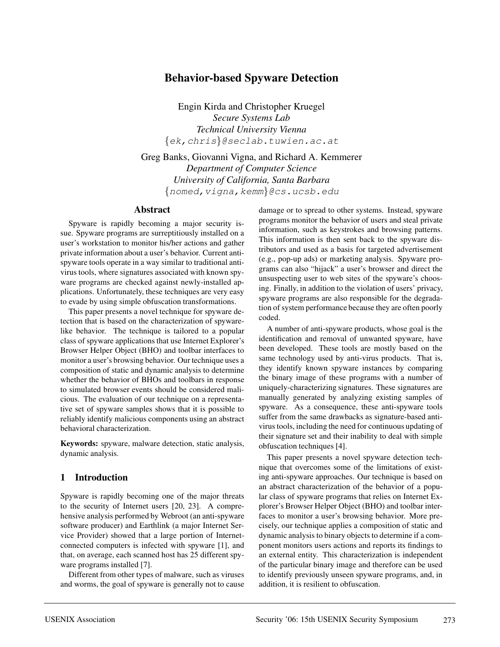# **Behavior-based Spyware Detection**

Engin Kirda and Christopher Kruegel *Secure Systems Lab Technical University Vienna* {ek,chris}@seclab.tuwien.ac.at

Greg Banks, Giovanni Vigna, and Richard A. Kemmerer *Department of Computer Science University of California, Santa Barbara* {nomed,vigna,kemm}@cs.ucsb.edu

#### **Abstract**

Spyware is rapidly becoming a major security issue. Spyware programs are surreptitiously installed on a user's workstation to monitor his/her actions and gather private information about a user's behavior. Current antispyware tools operate in a way similar to traditional antivirus tools, where signatures associated with known spyware programs are checked against newly-installed applications. Unfortunately, these techniques are very easy to evade by using simple obfuscation transformations.

This paper presents a novel technique for spyware detection that is based on the characterization of spywarelike behavior. The technique is tailored to a popular class of spyware applications that use Internet Explorer's Browser Helper Object (BHO) and toolbar interfaces to monitor a user's browsing behavior. Our technique uses a composition of static and dynamic analysis to determine whether the behavior of BHOs and toolbars in response to simulated browser events should be considered malicious. The evaluation of our technique on a representative set of spyware samples shows that it is possible to reliably identify malicious components using an abstract behavioral characterization.

**Keywords:** spyware, malware detection, static analysis, dynamic analysis.

## **1 Introduction**

Spyware is rapidly becoming one of the major threats to the security of Internet users [20, 23]. A comprehensive analysis performed by Webroot (an anti-spyware software producer) and Earthlink (a major Internet Service Provider) showed that a large portion of Internetconnected computers is infected with spyware [1], and that, on average, each scanned host has 25 different spyware programs installed [7].

Different from other types of malware, such as viruses and worms, the goal of spyware is generally not to cause

damage or to spread to other systems. Instead, spyware programs monitor the behavior of users and steal private information, such as keystrokes and browsing patterns. This information is then sent back to the spyware distributors and used as a basis for targeted advertisement (e.g., pop-up ads) or marketing analysis. Spyware programs can also "hijack" a user's browser and direct the unsuspecting user to web sites of the spyware's choosing. Finally, in addition to the violation of users' privacy, spyware programs are also responsible for the degradation of system performance because they are often poorly coded.

A number of anti-spyware products, whose goal is the identification and removal of unwanted spyware, have been developed. These tools are mostly based on the same technology used by anti-virus products. That is, they identify known spyware instances by comparing the binary image of these programs with a number of uniquely-characterizing signatures. These signatures are manually generated by analyzing existing samples of spyware. As a consequence, these anti-spyware tools suffer from the same drawbacks as signature-based antivirus tools, including the need for continuous updating of their signature set and their inability to deal with simple obfuscation techniques [4].

This paper presents a novel spyware detection technique that overcomes some of the limitations of existing anti-spyware approaches. Our technique is based on an abstract characterization of the behavior of a popular class of spyware programs that relies on Internet Explorer's Browser Helper Object (BHO) and toolbar interfaces to monitor a user's browsing behavior. More precisely, our technique applies a composition of static and dynamic analysis to binary objects to determine if a component monitors users actions and reports its findings to an external entity. This characterization is independent of the particular binary image and therefore can be used to identify previously unseen spyware programs, and, in addition, it is resilient to obfuscation.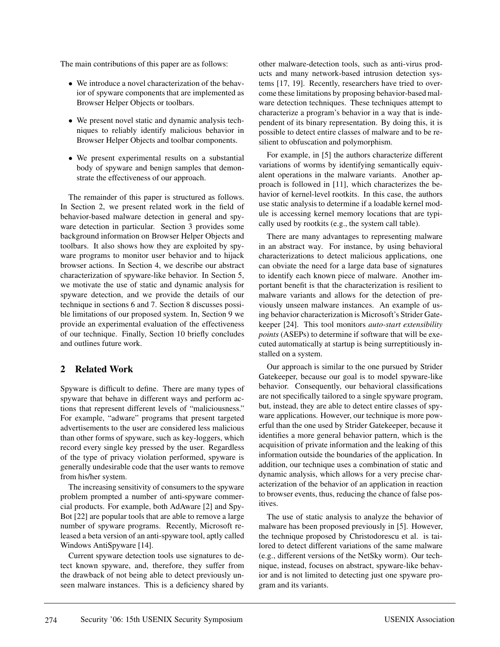The main contributions of this paper are as follows:

- We introduce a novel characterization of the behavior of spyware components that are implemented as Browser Helper Objects or toolbars.
- We present novel static and dynamic analysis techniques to reliably identify malicious behavior in Browser Helper Objects and toolbar components.
- We present experimental results on a substantial body of spyware and benign samples that demonstrate the effectiveness of our approach.

The remainder of this paper is structured as follows. In Section 2, we present related work in the field of behavior-based malware detection in general and spyware detection in particular. Section 3 provides some background information on Browser Helper Objects and toolbars. It also shows how they are exploited by spyware programs to monitor user behavior and to hijack browser actions. In Section 4, we describe our abstract characterization of spyware-like behavior. In Section 5, we motivate the use of static and dynamic analysis for spyware detection, and we provide the details of our technique in sections 6 and 7. Section 8 discusses possible limitations of our proposed system. In, Section 9 we provide an experimental evaluation of the effectiveness of our technique. Finally, Section 10 briefly concludes and outlines future work.

## **2 Related Work**

Spyware is difficult to define. There are many types of spyware that behave in different ways and perform actions that represent different levels of "maliciousness." For example, "adware" programs that present targeted advertisements to the user are considered less malicious than other forms of spyware, such as key-loggers, which record every single key pressed by the user. Regardless of the type of privacy violation performed, spyware is generally undesirable code that the user wants to remove from his/her system.

The increasing sensitivity of consumers to the spyware problem prompted a number of anti-spyware commercial products. For example, both AdAware [2] and Spy-Bot [22] are popular tools that are able to remove a large number of spyware programs. Recently, Microsoft released a beta version of an anti-spyware tool, aptly called Windows AntiSpyware [14].

Current spyware detection tools use signatures to detect known spyware, and, therefore, they suffer from the drawback of not being able to detect previously unseen malware instances. This is a deficiency shared by

other malware-detection tools, such as anti-virus products and many network-based intrusion detection systems [17, 19]. Recently, researchers have tried to overcome these limitations by proposing behavior-based malware detection techniques. These techniques attempt to characterize a program's behavior in a way that is independent of its binary representation. By doing this, it is possible to detect entire classes of malware and to be resilient to obfuscation and polymorphism.

For example, in [5] the authors characterize different variations of worms by identifying semantically equivalent operations in the malware variants. Another approach is followed in [11], which characterizes the behavior of kernel-level rootkits. In this case, the authors use static analysis to determine if a loadable kernel module is accessing kernel memory locations that are typically used by rootkits (e.g., the system call table).

There are many advantages to representing malware in an abstract way. For instance, by using behavioral characterizations to detect malicious applications, one can obviate the need for a large data base of signatures to identify each known piece of malware. Another important benefit is that the characterization is resilient to malware variants and allows for the detection of previously unseen malware instances. An example of using behavior characterization is Microsoft's Strider Gatekeeper [24]. This tool monitors *auto-start extensibility points* (ASEPs) to determine if software that will be executed automatically at startup is being surreptitiously installed on a system.

Our approach is similar to the one pursued by Strider Gatekeeper, because our goal is to model spyware-like behavior. Consequently, our behavioral classifications are not specifically tailored to a single spyware program, but, instead, they are able to detect entire classes of spyware applications. However, our technique is more powerful than the one used by Strider Gatekeeper, because it identifies a more general behavior pattern, which is the acquisition of private information and the leaking of this information outside the boundaries of the application. In addition, our technique uses a combination of static and dynamic analysis, which allows for a very precise characterization of the behavior of an application in reaction to browser events, thus, reducing the chance of false positives.

The use of static analysis to analyze the behavior of malware has been proposed previously in [5]. However, the technique proposed by Christodorescu et al. is tailored to detect different variations of the same malware (e.g., different versions of the NetSky worm). Our technique, instead, focuses on abstract, spyware-like behavior and is not limited to detecting just one spyware program and its variants.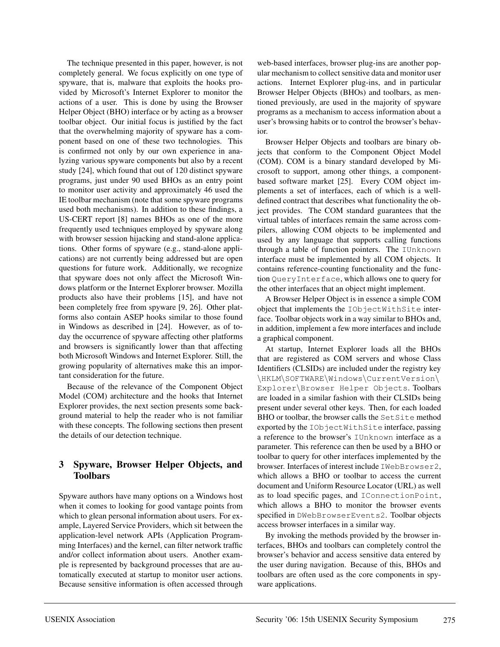The technique presented in this paper, however, is not completely general. We focus explicitly on one type of spyware, that is, malware that exploits the hooks provided by Microsoft's Internet Explorer to monitor the actions of a user. This is done by using the Browser Helper Object (BHO) interface or by acting as a browser toolbar object. Our initial focus is justified by the fact that the overwhelming majority of spyware has a component based on one of these two technologies. This is confirmed not only by our own experience in analyzing various spyware components but also by a recent study [24], which found that out of 120 distinct spyware programs, just under 90 used BHOs as an entry point to monitor user activity and approximately 46 used the IE toolbar mechanism (note that some spyware programs used both mechanisms). In addition to these findings, a US-CERT report [8] names BHOs as one of the more frequently used techniques employed by spyware along with browser session hijacking and stand-alone applications. Other forms of spyware (e.g., stand-alone applications) are not currently being addressed but are open questions for future work. Additionally, we recognize that spyware does not only affect the Microsoft Windows platform or the Internet Explorer browser. Mozilla products also have their problems [15], and have not been completely free from spyware [9, 26]. Other platforms also contain ASEP hooks similar to those found in Windows as described in [24]. However, as of today the occurrence of spyware affecting other platforms and browsers is significantly lower than that affecting both Microsoft Windows and Internet Explorer. Still, the growing popularity of alternatives make this an important consideration for the future.

Because of the relevance of the Component Object Model (COM) architecture and the hooks that Internet Explorer provides, the next section presents some background material to help the reader who is not familiar with these concepts. The following sections then present the details of our detection technique.

## **3 Spyware, Browser Helper Objects, and Toolbars**

Spyware authors have many options on a Windows host when it comes to looking for good vantage points from which to glean personal information about users. For example, Layered Service Providers, which sit between the application-level network APIs (Application Programming Interfaces) and the kernel, can filter network traffic and/or collect information about users. Another example is represented by background processes that are automatically executed at startup to monitor user actions. Because sensitive information is often accessed through web-based interfaces, browser plug-ins are another popular mechanism to collect sensitive data and monitor user actions. Internet Explorer plug-ins, and in particular Browser Helper Objects (BHOs) and toolbars, as mentioned previously, are used in the majority of spyware programs as a mechanism to access information about a user's browsing habits or to control the browser's behavior.

Browser Helper Objects and toolbars are binary objects that conform to the Component Object Model (COM). COM is a binary standard developed by Microsoft to support, among other things, a componentbased software market [25]. Every COM object implements a set of interfaces, each of which is a welldefined contract that describes what functionality the object provides. The COM standard guarantees that the virtual tables of interfaces remain the same across compilers, allowing COM objects to be implemented and used by any language that supports calling functions through a table of function pointers. The IUnknown interface must be implemented by all COM objects. It contains reference-counting functionality and the function QueryInterface, which allows one to query for the other interfaces that an object might implement.

A Browser Helper Object is in essence a simple COM object that implements the IObjectWithSite interface. Toolbar objects work in a way similar to BHOs and, in addition, implement a few more interfaces and include a graphical component.

At startup, Internet Explorer loads all the BHOs that are registered as COM servers and whose Class Identifiers (CLSIDs) are included under the registry key \HKLM\SOFTWARE\Windows\CurrentVersion\ Explorer\Browser Helper Objects. Toolbars are loaded in a similar fashion with their CLSIDs being present under several other keys. Then, for each loaded BHO or toolbar, the browser calls the SetSite method exported by the IObjectWithSite interface, passing a reference to the browser's IUnknown interface as a parameter. This reference can then be used by a BHO or toolbar to query for other interfaces implemented by the browser. Interfaces of interest include IWebBrowser2, which allows a BHO or toolbar to access the current document and Uniform Resource Locator (URL) as well as to load specific pages, and IConnectionPoint, which allows a BHO to monitor the browser events specified in DWebBrowserEvents2. Toolbar objects access browser interfaces in a similar way.

By invoking the methods provided by the browser interfaces, BHOs and toolbars can completely control the browser's behavior and access sensitive data entered by the user during navigation. Because of this, BHOs and toolbars are often used as the core components in spyware applications.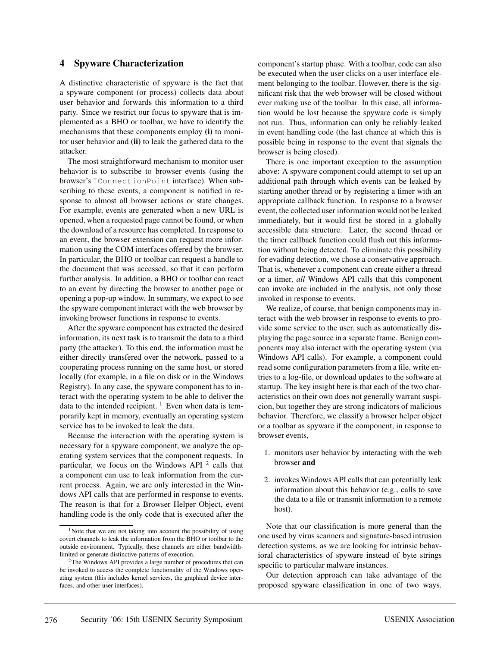### **4 Spyware Characterization**

A distinctive characteristic of spyware is the fact that a spyware component (or process) collects data about user behavior and forwards this information to a third party. Since we restrict our focus to spyware that is implemented as a BHO or toolbar, we have to identify the mechanisms that these components employ **(i)** to monitor user behavior and **(ii)** to leak the gathered data to the attacker.

The most straightforward mechanism to monitor user behavior is to subscribe to browser events (using the browser's IConnectionPoint interface). When subscribing to these events, a component is notified in response to almost all browser actions or state changes. For example, events are generated when a new URL is opened, when a requested page cannot be found, or when the download of a resource has completed. In response to an event, the browser extension can request more information using the COM interfaces offered by the browser. In particular, the BHO or toolbar can request a handle to the document that was accessed, so that it can perform further analysis. In addition, a BHO or toolbar can react to an event by directing the browser to another page or opening a pop-up window. In summary, we expect to see the spyware component interact with the web browser by invoking browser functions in response to events.

After the spyware component has extracted the desired information, its next task is to transmit the data to a third party (the attacker). To this end, the information must be either directly transfered over the network, passed to a cooperating process running on the same host, or stored locally (for example, in a file on disk or in the Windows Registry). In any case, the spyware component has to interact with the operating system to be able to deliver the data to the intended recipient.  $\frac{1}{1}$  Even when data is temporarily kept in memory, eventually an operating system service has to be invoked to leak the data.

Because the interaction with the operating system is necessary for a spyware component, we analyze the operating system services that the component requests. In particular, we focus on the Windows API  $2$  calls that a component can use to leak information from the current process. Again, we are only interested in the Windows API calls that are performed in response to events. The reason is that for a Browser Helper Object, event handling code is the only code that is executed after the component's startup phase. With a toolbar, code can also be executed when the user clicks on a user interface element belonging to the toolbar. However, there is the significant risk that the web browser will be closed without ever making use of the toolbar. In this case, all information would be lost because the spyware code is simply not run. Thus, information can only be reliably leaked in event handling code (the last chance at which this is possible being in response to the event that signals the browser is being closed).

There is one important exception to the assumption above: A spyware component could attempt to set up an additional path through which events can be leaked by starting another thread or by registering a timer with an appropriate callback function. In response to a browser event, the collected user information would not be leaked immediately, but it would first be stored in a globally accessible data structure. Later, the second thread or the timer callback function could flush out this information without being detected. To eliminate this possibility for evading detection, we chose a conservative approach. That is, whenever a component can create either a thread or a timer, *all* Windows API calls that this component can invoke are included in the analysis, not only those invoked in response to events.

We realize, of course, that benign components may interact with the web browser in response to events to provide some service to the user, such as automatically displaying the page source in a separate frame. Benign components may also interact with the operating system (via Windows API calls). For example, a component could read some configuration parameters from a file, write entries to a log-file, or download updates to the software at startup. The key insight here is that each of the two characteristics on their own does not generally warrant suspicion, but together they are strong indicators of malicious behavior. Therefore, we classify a browser helper object or a toolbar as spyware if the component, in response to browser events,

- 1. monitors user behavior by interacting with the web browser **and**
- 2. invokes Windows API calls that can potentially leak information about this behavior (e.g., calls to save the data to a file or transmit information to a remote host).

Note that our classification is more general than the one used by virus scanners and signature-based intrusion detection systems, as we are looking for intrinsic behavioral characteristics of spyware instead of byte strings specific to particular malware instances.

Our detection approach can take advantage of the proposed spyware classification in one of two ways.

<sup>&</sup>lt;sup>1</sup>Note that we are not taking into account the possibility of using covert channels to leak the information from the BHO or toolbar to the outside environment. Typically, these channels are either bandwidthlimited or generate distinctive patterns of execution.

<sup>&</sup>lt;sup>2</sup>The Windows API provides a large number of procedures that can be invoked to access the complete functionality of the Windows operating system (this includes kernel services, the graphical device interfaces, and other user interfaces).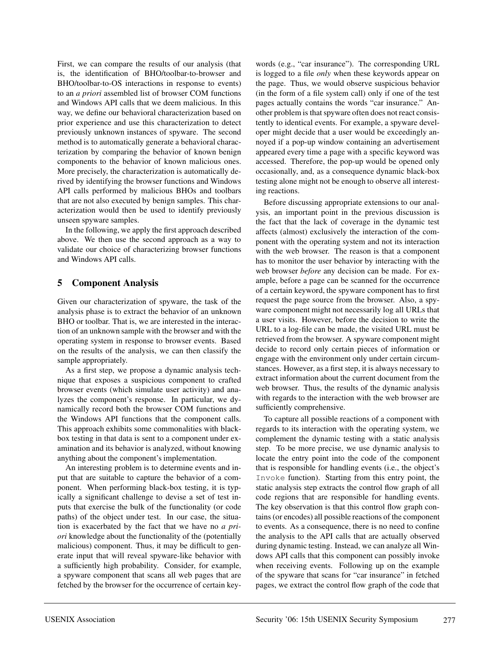First, we can compare the results of our analysis (that is, the identification of BHO/toolbar-to-browser and BHO/toolbar-to-OS interactions in response to events) to an *a priori* assembled list of browser COM functions and Windows API calls that we deem malicious. In this way, we define our behavioral characterization based on prior experience and use this characterization to detect previously unknown instances of spyware. The second method is to automatically generate a behavioral characterization by comparing the behavior of known benign components to the behavior of known malicious ones. More precisely, the characterization is automatically derived by identifying the browser functions and Windows API calls performed by malicious BHOs and toolbars that are not also executed by benign samples. This characterization would then be used to identify previously unseen spyware samples.

In the following, we apply the first approach described above. We then use the second approach as a way to validate our choice of characterizing browser functions and Windows API calls.

## **5 Component Analysis**

Given our characterization of spyware, the task of the analysis phase is to extract the behavior of an unknown BHO or toolbar. That is, we are interested in the interaction of an unknown sample with the browser and with the operating system in response to browser events. Based on the results of the analysis, we can then classify the sample appropriately.

As a first step, we propose a dynamic analysis technique that exposes a suspicious component to crafted browser events (which simulate user activity) and analyzes the component's response. In particular, we dynamically record both the browser COM functions and the Windows API functions that the component calls. This approach exhibits some commonalities with blackbox testing in that data is sent to a component under examination and its behavior is analyzed, without knowing anything about the component's implementation.

An interesting problem is to determine events and input that are suitable to capture the behavior of a component. When performing black-box testing, it is typically a significant challenge to devise a set of test inputs that exercise the bulk of the functionality (or code paths) of the object under test. In our case, the situation is exacerbated by the fact that we have no *a priori* knowledge about the functionality of the (potentially malicious) component. Thus, it may be difficult to generate input that will reveal spyware-like behavior with a sufficiently high probability. Consider, for example, a spyware component that scans all web pages that are fetched by the browser for the occurrence of certain keywords (e.g., "car insurance"). The corresponding URL is logged to a file *only* when these keywords appear on the page. Thus, we would observe suspicious behavior (in the form of a file system call) only if one of the test pages actually contains the words "car insurance." Another problem is that spyware often does not react consistently to identical events. For example, a spyware developer might decide that a user would be exceedingly annoyed if a pop-up window containing an advertisement appeared every time a page with a specific keyword was accessed. Therefore, the pop-up would be opened only occasionally, and, as a consequence dynamic black-box testing alone might not be enough to observe all interesting reactions.

Before discussing appropriate extensions to our analysis, an important point in the previous discussion is the fact that the lack of coverage in the dynamic test affects (almost) exclusively the interaction of the component with the operating system and not its interaction with the web browser. The reason is that a component has to monitor the user behavior by interacting with the web browser *before* any decision can be made. For example, before a page can be scanned for the occurrence of a certain keyword, the spyware component has to first request the page source from the browser. Also, a spyware component might not necessarily log all URLs that a user visits. However, before the decision to write the URL to a log-file can be made, the visited URL must be retrieved from the browser. A spyware component might decide to record only certain pieces of information or engage with the environment only under certain circumstances. However, as a first step, it is always necessary to extract information about the current document from the web browser. Thus, the results of the dynamic analysis with regards to the interaction with the web browser are sufficiently comprehensive.

To capture all possible reactions of a component with regards to its interaction with the operating system, we complement the dynamic testing with a static analysis step. To be more precise, we use dynamic analysis to locate the entry point into the code of the component that is responsible for handling events (i.e., the object's Invoke function). Starting from this entry point, the static analysis step extracts the control flow graph of all code regions that are responsible for handling events. The key observation is that this control flow graph contains (or encodes) all possible reactions of the component to events. As a consequence, there is no need to confine the analysis to the API calls that are actually observed during dynamic testing. Instead, we can analyze all Windows API calls that this component can possibly invoke when receiving events. Following up on the example of the spyware that scans for "car insurance" in fetched pages, we extract the control flow graph of the code that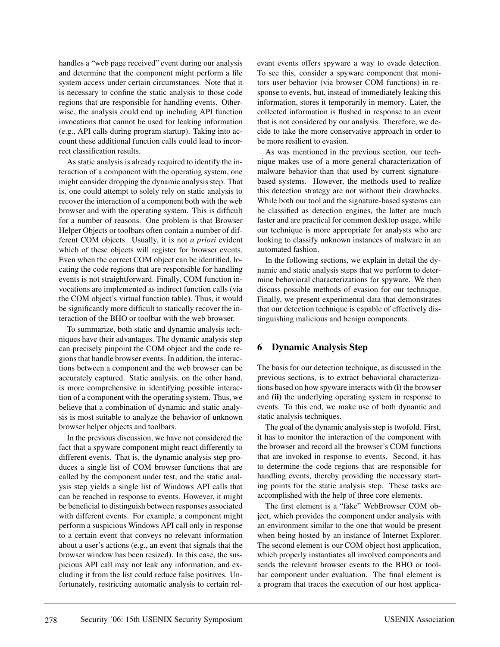handles a "web page received" event during our analysis and determine that the component might perform a file system access under certain circumstances. Note that it is necessary to confine the static analysis to those code regions that are responsible for handling events. Otherwise, the analysis could end up including API function invocations that cannot be used for leaking information (e.g., API calls during program startup). Taking into account these additional function calls could lead to incorrect classification results.

As static analysis is already required to identify the interaction of a component with the operating system, one might consider dropping the dynamic analysis step. That is, one could attempt to solely rely on static analysis to recover the interaction of a component both with the web browser and with the operating system. This is difficult for a number of reasons. One problem is that Browser Helper Objects or toolbars often contain a number of different COM objects. Usually, it is not *a priori* evident which of these objects will register for browser events. Even when the correct COM object can be identified, locating the code regions that are responsible for handling events is not straightforward. Finally, COM function invocations are implemented as indirect function calls (via the COM object's virtual function table). Thus, it would be significantly more difficult to statically recover the interaction of the BHO or toolbar with the web browser.

To summarize, both static and dynamic analysis techniques have their advantages. The dynamic analysis step can precisely pinpoint the COM object and the code regions that handle browser events. In addition, the interactions between a component and the web browser can be accurately captured. Static analysis, on the other hand, is more comprehensive in identifying possible interaction of a component with the operating system. Thus, we believe that a combination of dynamic and static analysis is most suitable to analyze the behavior of unknown browser helper objects and toolbars.

In the previous discussion, we have not considered the fact that a spyware component might react differently to different events. That is, the dynamic analysis step produces a single list of COM browser functions that are called by the component under test, and the static analysis step yields a single list of Windows API calls that can be reached in response to events. However, it might be beneficial to distinguish between responses associated with different events. For example, a component might perform a suspicious Windows API call only in response to a certain event that conveys no relevant information about a user's actions (e.g., an event that signals that the browser window has been resized). In this case, the suspicious API call may not leak any information, and excluding it from the list could reduce false positives. Unfortunately, restricting automatic analysis to certain relevant events offers spyware a way to evade detection. To see this, consider a spyware component that monitors user behavior (via browser COM functions) in response to events, but, instead of immediately leaking this information, stores it temporarily in memory. Later, the collected information is flushed in response to an event that is not considered by our analysis. Therefore, we decide to take the more conservative approach in order to be more resilient to evasion.

As was mentioned in the previous section, our technique makes use of a more general characterization of malware behavior than that used by current signaturebased systems. However, the methods used to realize this detection strategy are not without their drawbacks. While both our tool and the signature-based systems can be classified as detection engines, the latter are much faster and are practical for common desktop usage, while our technique is more appropriate for analysts who are looking to classify unknown instances of malware in an automated fashion.

In the following sections, we explain in detail the dynamic and static analysis steps that we perform to determine behavioral characterizations for spyware. We then discuss possible methods of evasion for our technique. Finally, we present experimental data that demonstrates that our detection technique is capable of effectively distinguishing malicious and benign components.

## **6 Dynamic Analysis Step**

The basis for our detection technique, as discussed in the previous sections, is to extract behavioral characterizations based on how spyware interacts with **(i)** the browser and **(ii)** the underlying operating system in response to events. To this end, we make use of both dynamic and static analysis techniques.

The goal of the dynamic analysis step is twofold. First, it has to monitor the interaction of the component with the browser and record all the browser's COM functions that are invoked in response to events. Second, it has to determine the code regions that are responsible for handling events, thereby providing the necessary starting points for the static analysis step. These tasks are accomplished with the help of three core elements.

The first element is a "fake" WebBrowser COM object, which provides the component under analysis with an environment similar to the one that would be present when being hosted by an instance of Internet Explorer. The second element is our COM object host application, which properly instantiates all involved components and sends the relevant browser events to the BHO or toolbar component under evaluation. The final element is a program that traces the execution of our host applica-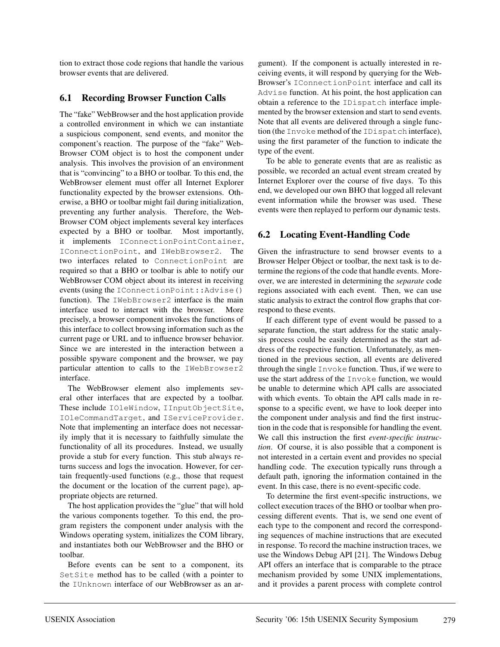tion to extract those code regions that handle the various browser events that are delivered.

# **6.1 Recording Browser Function Calls**

The "fake" WebBrowser and the host application provide a controlled environment in which we can instantiate a suspicious component, send events, and monitor the component's reaction. The purpose of the "fake" Web-Browser COM object is to host the component under analysis. This involves the provision of an environment that is "convincing" to a BHO or toolbar. To this end, the WebBrowser element must offer all Internet Explorer functionality expected by the browser extensions. Otherwise, a BHO or toolbar might fail during initialization, preventing any further analysis. Therefore, the Web-Browser COM object implements several key interfaces expected by a BHO or toolbar. Most importantly, it implements IConnectionPointContainer, IConnectionPoint, and IWebBrowser2. The two interfaces related to ConnectionPoint are required so that a BHO or toolbar is able to notify our WebBrowser COM object about its interest in receiving events (using the IConnectionPoint::Advise() function). The IWebBrowser2 interface is the main interface used to interact with the browser. More precisely, a browser component invokes the functions of this interface to collect browsing information such as the current page or URL and to influence browser behavior. Since we are interested in the interaction between a possible spyware component and the browser, we pay particular attention to calls to the IWebBrowser2 interface.

The WebBrowser element also implements several other interfaces that are expected by a toolbar. These include IOleWindow, IInputObjectSite, IOleCommandTarget, and IServiceProvider. Note that implementing an interface does not necessarily imply that it is necessary to faithfully simulate the functionality of all its procedures. Instead, we usually provide a stub for every function. This stub always returns success and logs the invocation. However, for certain frequently-used functions (e.g., those that request the document or the location of the current page), appropriate objects are returned.

The host application provides the "glue" that will hold the various components together. To this end, the program registers the component under analysis with the Windows operating system, initializes the COM library, and instantiates both our WebBrowser and the BHO or toolbar.

Before events can be sent to a component, its SetSite method has to be called (with a pointer to the IUnknown interface of our WebBrowser as an argument). If the component is actually interested in receiving events, it will respond by querying for the Web-Browser's IConnectionPoint interface and call its Advise function. At his point, the host application can obtain a reference to the IDispatch interface implemented by the browser extension and start to send events. Note that all events are delivered through a single function (the Invoke method of the IDispatch interface), using the first parameter of the function to indicate the type of the event.

To be able to generate events that are as realistic as possible, we recorded an actual event stream created by Internet Explorer over the course of five days. To this end, we developed our own BHO that logged all relevant event information while the browser was used. These events were then replayed to perform our dynamic tests.

# **6.2 Locating Event-Handling Code**

Given the infrastructure to send browser events to a Browser Helper Object or toolbar, the next task is to determine the regions of the code that handle events. Moreover, we are interested in determining the *separate* code regions associated with each event. Then, we can use static analysis to extract the control flow graphs that correspond to these events.

If each different type of event would be passed to a separate function, the start address for the static analysis process could be easily determined as the start address of the respective function. Unfortunately, as mentioned in the previous section, all events are delivered through the single Invoke function. Thus, if we were to use the start address of the Invoke function, we would be unable to determine which API calls are associated with which events. To obtain the API calls made in response to a specific event, we have to look deeper into the component under analysis and find the first instruction in the code that is responsible for handling the event. We call this instruction the first *event-specific instruction*. Of course, it is also possible that a component is not interested in a certain event and provides no special handling code. The execution typically runs through a default path, ignoring the information contained in the event. In this case, there is no event-specific code.

To determine the first event-specific instructions, we collect execution traces of the BHO or toolbar when processing different events. That is, we send one event of each type to the component and record the corresponding sequences of machine instructions that are executed in response. To record the machine instruction traces, we use the Windows Debug API [21]. The Windows Debug API offers an interface that is comparable to the ptrace mechanism provided by some UNIX implementations, and it provides a parent process with complete control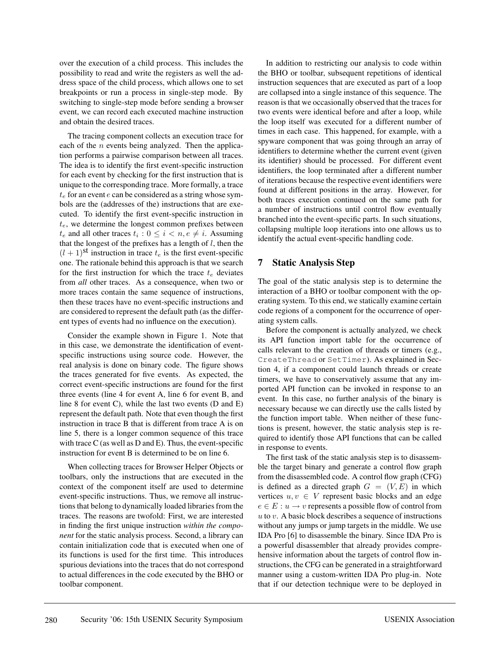over the execution of a child process. This includes the possibility to read and write the registers as well the address space of the child process, which allows one to set breakpoints or run a process in single-step mode. By switching to single-step mode before sending a browser event, we can record each executed machine instruction and obtain the desired traces.

The tracing component collects an execution trace for each of the  $n$  events being analyzed. Then the application performs a pairwise comparison between all traces. The idea is to identify the first event-specific instruction for each event by checking for the first instruction that is unique to the corresponding trace. More formally, a trace  $t_e$  for an event  $e$  can be considered as a string whose symbols are the (addresses of the) instructions that are executed. To identify the first event-specific instruction in  $t_e$ , we determine the longest common prefixes between  $t_e$  and all other traces  $t_i : 0 \le i < n, e \ne i$ . Assuming that the longest of the prefixes has a length of  $l$ , then the  $(l + 1)$ <sup>St</sup> instruction in trace  $t_e$  is the first event-specific one. The rationale behind this approach is that we search for the first instruction for which the trace  $t_e$  deviates from *all* other traces. As a consequence, when two or more traces contain the same sequence of instructions, then these traces have no event-specific instructions and are considered to represent the default path (as the different types of events had no influence on the execution).

Consider the example shown in Figure 1. Note that in this case, we demonstrate the identification of eventspecific instructions using source code. However, the real analysis is done on binary code. The figure shows the traces generated for five events. As expected, the correct event-specific instructions are found for the first three events (line 4 for event A, line 6 for event B, and line 8 for event C), while the last two events (D and E) represent the default path. Note that even though the first instruction in trace B that is different from trace A is on line 5, there is a longer common sequence of this trace with trace  $C$  (as well as  $D$  and  $E$ ). Thus, the event-specific instruction for event B is determined to be on line 6.

When collecting traces for Browser Helper Objects or toolbars, only the instructions that are executed in the context of the component itself are used to determine event-specific instructions. Thus, we remove all instructions that belong to dynamically loaded libraries from the traces. The reasons are twofold: First, we are interested in finding the first unique instruction *within the component* for the static analysis process. Second, a library can contain initialization code that is executed when one of its functions is used for the first time. This introduces spurious deviations into the traces that do not correspond to actual differences in the code executed by the BHO or toolbar component.

In addition to restricting our analysis to code within the BHO or toolbar, subsequent repetitions of identical instruction sequences that are executed as part of a loop are collapsed into a single instance of this sequence. The reason is that we occasionally observed that the traces for two events were identical before and after a loop, while the loop itself was executed for a different number of times in each case. This happened, for example, with a spyware component that was going through an array of identifiers to determine whether the current event (given its identifier) should be processed. For different event identifiers, the loop terminated after a different number of iterations because the respective event identifiers were found at different positions in the array. However, for both traces execution continued on the same path for a number of instructions until control flow eventually branched into the event-specific parts. In such situations, collapsing multiple loop iterations into one allows us to identify the actual event-specific handling code.

## **7 Static Analysis Step**

The goal of the static analysis step is to determine the interaction of a BHO or toolbar component with the operating system. To this end, we statically examine certain code regions of a component for the occurrence of operating system calls.

Before the component is actually analyzed, we check its API function import table for the occurrence of calls relevant to the creation of threads or timers (e.g., CreateThread or SetTimer). As explained in Section 4, if a component could launch threads or create timers, we have to conservatively assume that any imported API function can be invoked in response to an event. In this case, no further analysis of the binary is necessary because we can directly use the calls listed by the function import table. When neither of these functions is present, however, the static analysis step is required to identify those API functions that can be called in response to events.

The first task of the static analysis step is to disassemble the target binary and generate a control flow graph from the disassembled code. A control flow graph (CFG) is defined as a directed graph  $G = (V, E)$  in which vertices  $u, v \in V$  represent basic blocks and an edge  $e \in E: u \to v$  represents a possible flow of control from  $u$  to  $v$ . A basic block describes a sequence of instructions without any jumps or jump targets in the middle. We use IDA Pro [6] to disassemble the binary. Since IDA Pro is a powerful disassembler that already provides comprehensive information about the targets of control flow instructions, the CFG can be generated in a straightforward manner using a custom-written IDA Pro plug-in. Note that if our detection technique were to be deployed in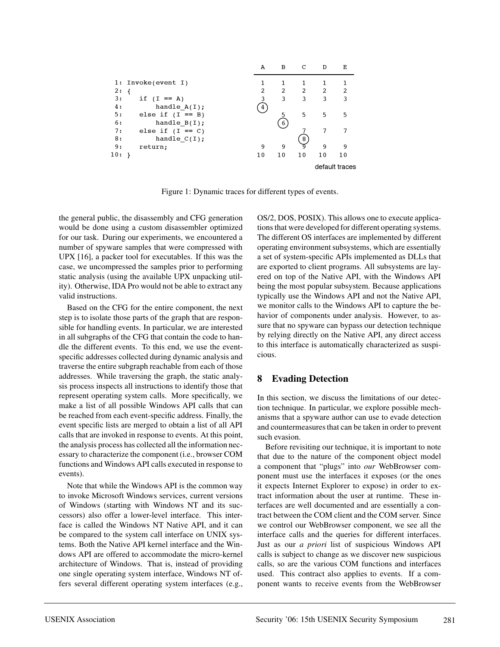

Figure 1: Dynamic traces for different types of events.

the general public, the disassembly and CFG generation would be done using a custom disassembler optimized for our task. During our experiments, we encountered a number of spyware samples that were compressed with UPX [16], a packer tool for executables. If this was the case, we uncompressed the samples prior to performing static analysis (using the available UPX unpacking utility). Otherwise, IDA Pro would not be able to extract any valid instructions.

Based on the CFG for the entire component, the next step is to isolate those parts of the graph that are responsible for handling events. In particular, we are interested in all subgraphs of the CFG that contain the code to handle the different events. To this end, we use the eventspecific addresses collected during dynamic analysis and traverse the entire subgraph reachable from each of those addresses. While traversing the graph, the static analysis process inspects all instructions to identify those that represent operating system calls. More specifically, we make a list of all possible Windows API calls that can be reached from each event-specific address. Finally, the event specific lists are merged to obtain a list of all API calls that are invoked in response to events. At this point, the analysis process has collected all the information necessary to characterize the component (i.e., browser COM functions and Windows API calls executed in response to events).

Note that while the Windows API is the common way to invoke Microsoft Windows services, current versions of Windows (starting with Windows NT and its successors) also offer a lower-level interface. This interface is called the Windows NT Native API, and it can be compared to the system call interface on UNIX systems. Both the Native API kernel interface and the Windows API are offered to accommodate the micro-kernel architecture of Windows. That is, instead of providing one single operating system interface, Windows NT offers several different operating system interfaces (e.g.,

OS/2, DOS, POSIX). This allows one to execute applications that were developed for different operating systems. The different OS interfaces are implemented by different operating environment subsystems, which are essentially a set of system-specific APIs implemented as DLLs that are exported to client programs. All subsystems are layered on top of the Native API, with the Windows API being the most popular subsystem. Because applications typically use the Windows API and not the Native API, we monitor calls to the Windows API to capture the behavior of components under analysis. However, to assure that no spyware can bypass our detection technique by relying directly on the Native API, any direct access to this interface is automatically characterized as suspicious.

## **8 Evading Detection**

In this section, we discuss the limitations of our detection technique. In particular, we explore possible mechanisms that a spyware author can use to evade detection and countermeasures that can be taken in order to prevent such evasion.

Before revisiting our technique, it is important to note that due to the nature of the component object model a component that "plugs" into *our* WebBrowser component must use the interfaces it exposes (or the ones it expects Internet Explorer to expose) in order to extract information about the user at runtime. These interfaces are well documented and are essentially a contract between the COM client and the COM server. Since we control our WebBrowser component, we see all the interface calls and the queries for different interfaces. Just as our *a priori* list of suspicious Windows API calls is subject to change as we discover new suspicious calls, so are the various COM functions and interfaces used. This contract also applies to events. If a component wants to receive events from the WebBrowser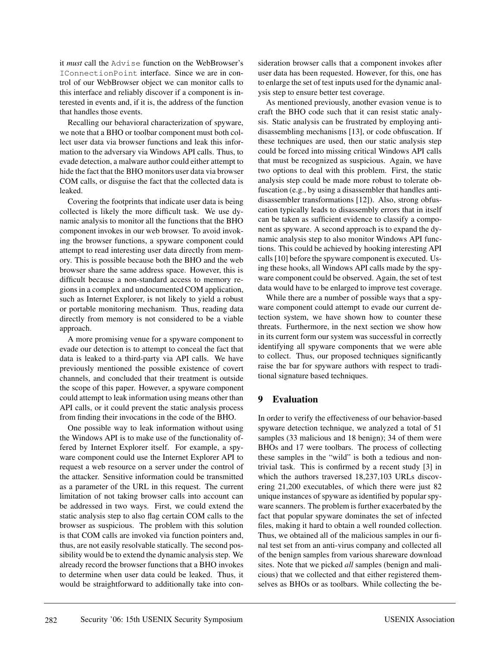it *must* call the Advise function on the WebBrowser's IConnectionPoint interface. Since we are in control of our WebBrowser object we can monitor calls to this interface and reliably discover if a component is interested in events and, if it is, the address of the function that handles those events.

Recalling our behavioral characterization of spyware, we note that a BHO or toolbar component must both collect user data via browser functions and leak this information to the adversary via Windows API calls. Thus, to evade detection, a malware author could either attempt to hide the fact that the BHO monitors user data via browser COM calls, or disguise the fact that the collected data is leaked.

Covering the footprints that indicate user data is being collected is likely the more difficult task. We use dynamic analysis to monitor all the functions that the BHO component invokes in our web browser. To avoid invoking the browser functions, a spyware component could attempt to read interesting user data directly from memory. This is possible because both the BHO and the web browser share the same address space. However, this is difficult because a non-standard access to memory regions in a complex and undocumented COM application, such as Internet Explorer, is not likely to yield a robust or portable monitoring mechanism. Thus, reading data directly from memory is not considered to be a viable approach.

A more promising venue for a spyware component to evade our detection is to attempt to conceal the fact that data is leaked to a third-party via API calls. We have previously mentioned the possible existence of covert channels, and concluded that their treatment is outside the scope of this paper. However, a spyware component could attempt to leak information using means other than API calls, or it could prevent the static analysis process from finding their invocations in the code of the BHO.

One possible way to leak information without using the Windows API is to make use of the functionality offered by Internet Explorer itself. For example, a spyware component could use the Internet Explorer API to request a web resource on a server under the control of the attacker. Sensitive information could be transmitted as a parameter of the URL in this request. The current limitation of not taking browser calls into account can be addressed in two ways. First, we could extend the static analysis step to also flag certain COM calls to the browser as suspicious. The problem with this solution is that COM calls are invoked via function pointers and, thus, are not easily resolvable statically. The second possibility would be to extend the dynamic analysis step. We already record the browser functions that a BHO invokes to determine when user data could be leaked. Thus, it would be straightforward to additionally take into consideration browser calls that a component invokes after user data has been requested. However, for this, one has to enlarge the set of test inputs used for the dynamic analysis step to ensure better test coverage.

As mentioned previously, another evasion venue is to craft the BHO code such that it can resist static analysis. Static analysis can be frustrated by employing antidisassembling mechanisms [13], or code obfuscation. If these techniques are used, then our static analysis step could be forced into missing critical Windows API calls that must be recognized as suspicious. Again, we have two options to deal with this problem. First, the static analysis step could be made more robust to tolerate obfuscation (e.g., by using a disassembler that handles antidisassembler transformations [12]). Also, strong obfuscation typically leads to disassembly errors that in itself can be taken as sufficient evidence to classify a component as spyware. A second approach is to expand the dynamic analysis step to also monitor Windows API functions. This could be achieved by hooking interesting API calls [10] before the spyware component is executed. Using these hooks, all Windows API calls made by the spyware component could be observed. Again, the set of test data would have to be enlarged to improve test coverage.

While there are a number of possible ways that a spyware component could attempt to evade our current detection system, we have shown how to counter these threats. Furthermore, in the next section we show how in its current form our system was successful in correctly identifying all spyware components that we were able to collect. Thus, our proposed techniques significantly raise the bar for spyware authors with respect to traditional signature based techniques.

## **9 Evaluation**

In order to verify the effectiveness of our behavior-based spyware detection technique, we analyzed a total of 51 samples (33 malicious and 18 benign); 34 of them were BHOs and 17 were toolbars. The process of collecting these samples in the "wild" is both a tedious and nontrivial task. This is confirmed by a recent study [3] in which the authors traversed 18,237,103 URLs discovering 21,200 executables, of which there were just 82 unique instances of spyware as identified by popular spyware scanners. The problem is further exacerbated by the fact that popular spyware dominates the set of infected files, making it hard to obtain a well rounded collection. Thus, we obtained all of the malicious samples in our final test set from an anti-virus company and collected all of the benign samples from various shareware download sites. Note that we picked *all* samples (benign and malicious) that we collected and that either registered themselves as BHOs or as toolbars. While collecting the be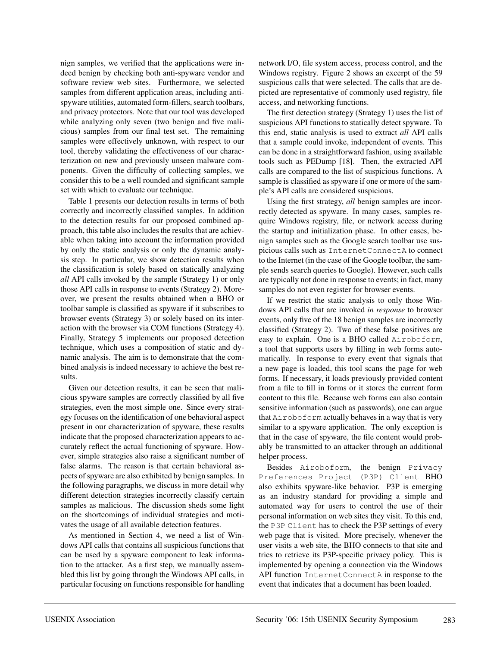nign samples, we verified that the applications were indeed benign by checking both anti-spyware vendor and software review web sites. Furthermore, we selected samples from different application areas, including antispyware utilities, automated form-fillers, search toolbars, and privacy protectors. Note that our tool was developed while analyzing only seven (two benign and five malicious) samples from our final test set. The remaining samples were effectively unknown, with respect to our tool, thereby validating the effectiveness of our characterization on new and previously unseen malware components. Given the difficulty of collecting samples, we consider this to be a well rounded and significant sample set with which to evaluate our technique.

Table 1 presents our detection results in terms of both correctly and incorrectly classified samples. In addition to the detection results for our proposed combined approach, this table also includes the results that are achievable when taking into account the information provided by only the static analysis or only the dynamic analysis step. In particular, we show detection results when the classification is solely based on statically analyzing *all* API calls invoked by the sample (Strategy 1) or only those API calls in response to events (Strategy 2). Moreover, we present the results obtained when a BHO or toolbar sample is classified as spyware if it subscribes to browser events (Strategy 3) or solely based on its interaction with the browser via COM functions (Strategy 4). Finally, Strategy 5 implements our proposed detection technique, which uses a composition of static and dynamic analysis. The aim is to demonstrate that the combined analysis is indeed necessary to achieve the best results.

Given our detection results, it can be seen that malicious spyware samples are correctly classified by all five strategies, even the most simple one. Since every strategy focuses on the identification of one behavioral aspect present in our characterization of spyware, these results indicate that the proposed characterization appears to accurately reflect the actual functioning of spyware. However, simple strategies also raise a significant number of false alarms. The reason is that certain behavioral aspects of spyware are also exhibited by benign samples. In the following paragraphs, we discuss in more detail why different detection strategies incorrectly classify certain samples as malicious. The discussion sheds some light on the shortcomings of individual strategies and motivates the usage of all available detection features.

As mentioned in Section 4, we need a list of Windows API calls that contains all suspicious functions that can be used by a spyware component to leak information to the attacker. As a first step, we manually assembled this list by going through the Windows API calls, in particular focusing on functions responsible for handling network I/O, file system access, process control, and the Windows registry. Figure 2 shows an excerpt of the 59 suspicious calls that were selected. The calls that are depicted are representative of commonly used registry, file access, and networking functions.

The first detection strategy (Strategy 1) uses the list of suspicious API functions to statically detect spyware. To this end, static analysis is used to extract *all* API calls that a sample could invoke, independent of events. This can be done in a straightforward fashion, using available tools such as PEDump [18]. Then, the extracted API calls are compared to the list of suspicious functions. A sample is classified as spyware if one or more of the sample's API calls are considered suspicious.

Using the first strategy, *all* benign samples are incorrectly detected as spyware. In many cases, samples require Windows registry, file, or network access during the startup and initialization phase. In other cases, benign samples such as the Google search toolbar use suspicious calls such as InternetConnectA to connect to the Internet (in the case of the Google toolbar, the sample sends search queries to Google). However, such calls are typically not done in response to events; in fact, many samples do not even register for browser events.

If we restrict the static analysis to only those Windows API calls that are invoked *in response* to browser events, only five of the 18 benign samples are incorrectly classified (Strategy 2). Two of these false positives are easy to explain. One is a BHO called Airoboform, a tool that supports users by filling in web forms automatically. In response to every event that signals that a new page is loaded, this tool scans the page for web forms. If necessary, it loads previously provided content from a file to fill in forms or it stores the current form content to this file. Because web forms can also contain sensitive information (such as passwords), one can argue that Airoboform actually behaves in a way that is very similar to a spyware application. The only exception is that in the case of spyware, the file content would probably be transmitted to an attacker through an additional helper process.

Besides Airoboform, the benign Privacy Preferences Project (P3P) Client BHO also exhibits spyware-like behavior. P3P is emerging as an industry standard for providing a simple and automated way for users to control the use of their personal information on web sites they visit. To this end, the P3P Client has to check the P3P settings of every web page that is visited. More precisely, whenever the user visits a web site, the BHO connects to that site and tries to retrieve its P3P-specific privacy policy. This is implemented by opening a connection via the Windows API function InternetConnectA in response to the event that indicates that a document has been loaded.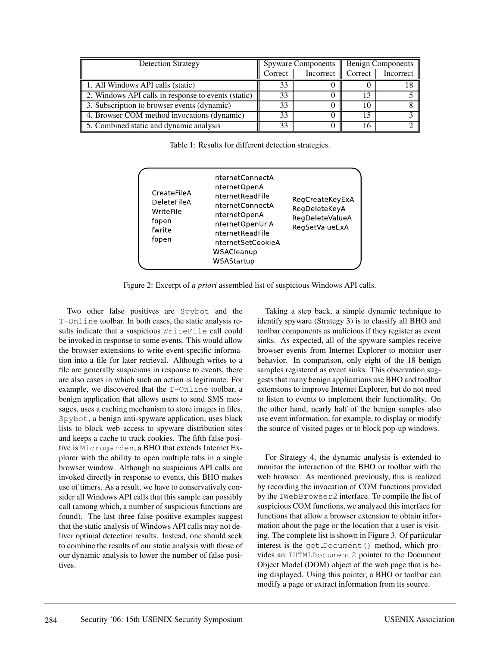| <b>Detection Strategy</b>                           | Spyware Components |                       | <b>Benign Components</b> |                   |
|-----------------------------------------------------|--------------------|-----------------------|--------------------------|-------------------|
|                                                     | Correct            | Incorrect $\parallel$ |                          | Correct Incorrect |
| 1. All Windows API calls (static)                   | 33                 |                       |                          |                   |
| 2. Windows API calls in response to events (static) | 32                 |                       |                          |                   |
| 3. Subscription to browser events (dynamic)         |                    |                       |                          |                   |
| 4. Browser COM method invocations (dynamic)         | 33                 |                       |                          |                   |
| 5. Combined static and dynamic analysis             | 33                 |                       |                          |                   |

Table 1: Results for different detection strategies.

| CreateFileA<br><b>DeleteFileA</b><br>WriteFile<br>fopen<br>fwrite<br>fopen | InternetConnectA<br>InternetOpenA<br><b>InternetReadFile</b><br>InternetConnectA<br>InternetOpenA<br>InternetOpenUrlA<br><b>InternetReadFile</b><br><b>InternetSetCookieA</b><br>WSACleanup<br>WSAStartup | RegCreateKeyExA<br>RegDeleteKeyA<br>RegDeleteValueA<br>RegSetValueExA |
|----------------------------------------------------------------------------|-----------------------------------------------------------------------------------------------------------------------------------------------------------------------------------------------------------|-----------------------------------------------------------------------|
|----------------------------------------------------------------------------|-----------------------------------------------------------------------------------------------------------------------------------------------------------------------------------------------------------|-----------------------------------------------------------------------|

Figure 2: Excerpt of *a priori* assembled list of suspicious Windows API calls.

Two other false positives are Spybot and the T-Online toolbar. In both cases, the static analysis results indicate that a suspicious WriteFile call could be invoked in response to some events. This would allow the browser extensions to write event-specific information into a file for later retrieval. Although writes to a file are generally suspicious in response to events, there are also cases in which such an action is legitimate. For example, we discovered that the T-Online toolbar, a benign application that allows users to send SMS messages, uses a caching mechanism to store images in files. Spybot, a benign anti-spyware application, uses black lists to block web access to spyware distribution sites and keeps a cache to track cookies. The fifth false positive is Microgarden, a BHO that extends Internet Explorer with the ability to open multiple tabs in a single browser window. Although no suspicious API calls are invoked directly in response to events, this BHO makes use of timers. As a result, we have to conservatively consider all Windows API calls that this sample can possibly call (among which, a number of suspicious functions are found). The last three false positive examples suggest that the static analysis of Windows API calls may not deliver optimal detection results. Instead, one should seek to combine the results of our static analysis with those of our dynamic analysis to lower the number of false positives.

Taking a step back, a simple dynamic technique to identify spyware (Strategy 3) is to classify all BHO and toolbar components as malicious if they register as event sinks. As expected, all of the spyware samples receive browser events from Internet Explorer to monitor user behavior. In comparison, only eight of the 18 benign samples registered as event sinks. This observation suggests that many benign applications use BHO and toolbar extensions to improve Internet Explorer, but do not need to listen to events to implement their functionality. On the other hand, nearly half of the benign samples also use event information, for example, to display or modify the source of visited pages or to block pop-up windows.

For Strategy 4, the dynamic analysis is extended to monitor the interaction of the BHO or toolbar with the web browser. As mentioned previously, this is realized by recording the invocation of COM functions provided by the IWebBrowser2 interface. To compile the list of suspicious COM functions, we analyzed this interface for functions that allow a browser extension to obtain information about the page or the location that a user is visiting. The complete list is shown in Figure 3. Of particular interest is the get Document () method, which provides an IHTMLDocument2 pointer to the Document Object Model (DOM) object of the web page that is being displayed. Using this pointer, a BHO or toolbar can modify a page or extract information from its source.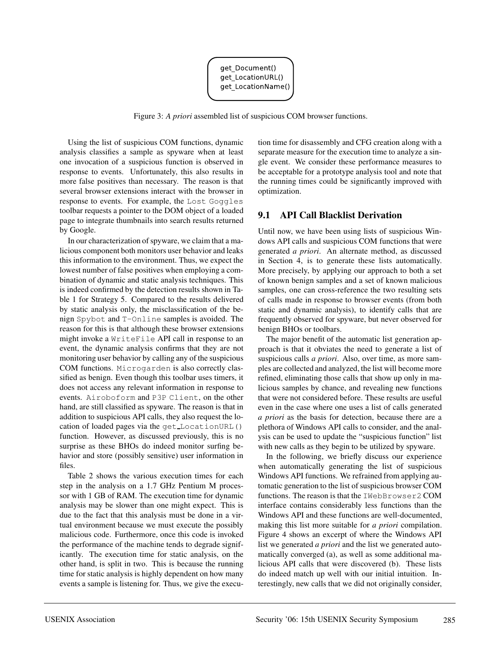

Figure 3: *A priori* assembled list of suspicious COM browser functions.

Using the list of suspicious COM functions, dynamic analysis classifies a sample as spyware when at least one invocation of a suspicious function is observed in response to events. Unfortunately, this also results in more false positives than necessary. The reason is that several browser extensions interact with the browser in response to events. For example, the Lost Goggles toolbar requests a pointer to the DOM object of a loaded page to integrate thumbnails into search results returned by Google.

In our characterization of spyware, we claim that a malicious component both monitors user behavior and leaks this information to the environment. Thus, we expect the lowest number of false positives when employing a combination of dynamic and static analysis techniques. This is indeed confirmed by the detection results shown in Table 1 for Strategy 5. Compared to the results delivered by static analysis only, the misclassification of the benign Spybot and T-Online samples is avoided. The reason for this is that although these browser extensions might invoke a WriteFile API call in response to an event, the dynamic analysis confirms that they are not monitoring user behavior by calling any of the suspicious COM functions. Microgarden is also correctly classified as benign. Even though this toolbar uses timers, it does not access any relevant information in response to events. Airoboform and P3P Client, on the other hand, are still classified as spyware. The reason is that in addition to suspicious API calls, they also request the location of loaded pages via the get LocationURL() function. However, as discussed previously, this is no surprise as these BHOs do indeed monitor surfing behavior and store (possibly sensitive) user information in files.

Table 2 shows the various execution times for each step in the analysis on a 1.7 GHz Pentium M processor with 1 GB of RAM. The execution time for dynamic analysis may be slower than one might expect. This is due to the fact that this analysis must be done in a virtual environment because we must execute the possibly malicious code. Furthermore, once this code is invoked the performance of the machine tends to degrade significantly. The execution time for static analysis, on the other hand, is split in two. This is because the running time for static analysis is highly dependent on how many events a sample is listening for. Thus, we give the execution time for disassembly and CFG creation along with a separate measure for the execution time to analyze a single event. We consider these performance measures to be acceptable for a prototype analysis tool and note that the running times could be significantly improved with optimization.

## **9.1 API Call Blacklist Derivation**

Until now, we have been using lists of suspicious Windows API calls and suspicious COM functions that were generated *a priori*. An alternate method, as discussed in Section 4, is to generate these lists automatically. More precisely, by applying our approach to both a set of known benign samples and a set of known malicious samples, one can cross-reference the two resulting sets of calls made in response to browser events (from both static and dynamic analysis), to identify calls that are frequently observed for spyware, but never observed for benign BHOs or toolbars.

The major benefit of the automatic list generation approach is that it obviates the need to generate a list of suspicious calls *a priori*. Also, over time, as more samples are collected and analyzed, the list will become more refined, eliminating those calls that show up only in malicious samples by chance, and revealing new functions that were not considered before. These results are useful even in the case where one uses a list of calls generated *a priori* as the basis for detection, because there are a plethora of Windows API calls to consider, and the analysis can be used to update the "suspicious function" list with new calls as they begin to be utilized by spyware.

In the following, we briefly discuss our experience when automatically generating the list of suspicious Windows API functions. We refrained from applying automatic generation to the list of suspicious browser COM functions. The reason is that the IWebBrowser2 COM interface contains considerably less functions than the Windows API and these functions are well-documented, making this list more suitable for *a priori* compilation. Figure 4 shows an excerpt of where the Windows API list we generated *a priori* and the list we generated automatically converged (a), as well as some additional malicious API calls that were discovered (b). These lists do indeed match up well with our initial intuition. Interestingly, new calls that we did not originally consider,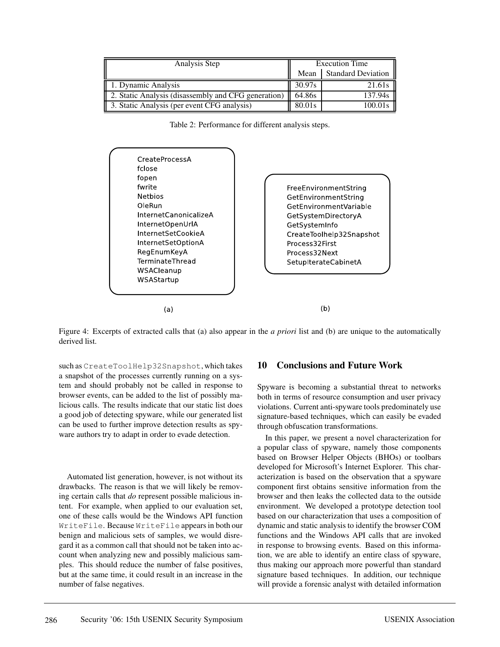| Analysis Step                                       | <b>Execution Time</b> |                    |
|-----------------------------------------------------|-----------------------|--------------------|
|                                                     | Mean                  | Standard Deviation |
| 1. Dynamic Analysis                                 | 30.97s                | 21.61s             |
| 2. Static Analysis (disassembly and CFG generation) |                       | 137.94s            |
| 3. Static Analysis (per event CFG analysis)         | 80.01s                | 100.01s            |

Table 2: Performance for different analysis steps.



Figure 4: Excerpts of extracted calls that (a) also appear in the *a priori* list and (b) are unique to the automatically derived list.

such as CreateToolHelp32Snapshot, which takes a snapshot of the processes currently running on a system and should probably not be called in response to browser events, can be added to the list of possibly malicious calls. The results indicate that our static list does a good job of detecting spyware, while our generated list can be used to further improve detection results as spyware authors try to adapt in order to evade detection.

Automated list generation, however, is not without its drawbacks. The reason is that we will likely be removing certain calls that *do* represent possible malicious intent. For example, when applied to our evaluation set, one of these calls would be the Windows API function WriteFile. Because WriteFile appears in both our benign and malicious sets of samples, we would disregard it as a common call that should not be taken into account when analyzing new and possibly malicious samples. This should reduce the number of false positives, but at the same time, it could result in an increase in the number of false negatives.

## **10 Conclusions and Future Work**

Spyware is becoming a substantial threat to networks both in terms of resource consumption and user privacy violations. Current anti-spyware tools predominately use signature-based techniques, which can easily be evaded through obfuscation transformations.

In this paper, we present a novel characterization for a popular class of spyware, namely those components based on Browser Helper Objects (BHOs) or toolbars developed for Microsoft's Internet Explorer. This characterization is based on the observation that a spyware component first obtains sensitive information from the browser and then leaks the collected data to the outside environment. We developed a prototype detection tool based on our characterization that uses a composition of dynamic and static analysis to identify the browser COM functions and the Windows API calls that are invoked in response to browsing events. Based on this information, we are able to identify an entire class of spyware, thus making our approach more powerful than standard signature based techniques. In addition, our technique will provide a forensic analyst with detailed information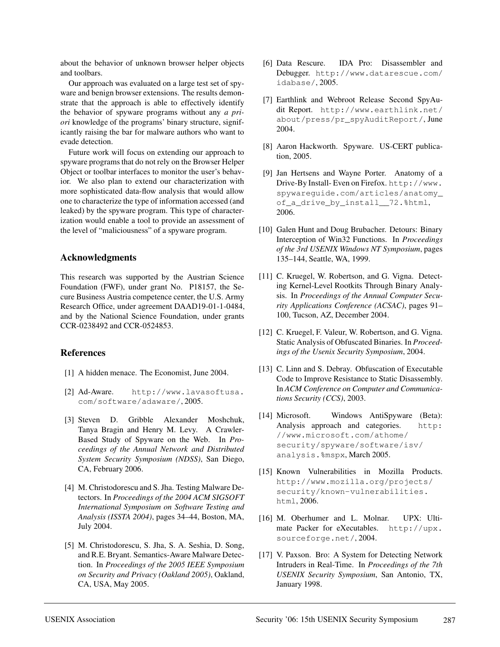about the behavior of unknown browser helper objects and toolbars.

Our approach was evaluated on a large test set of spyware and benign browser extensions. The results demonstrate that the approach is able to effectively identify the behavior of spyware programs without any *a priori* knowledge of the programs' binary structure, significantly raising the bar for malware authors who want to evade detection.

Future work will focus on extending our approach to spyware programs that do not rely on the Browser Helper Object or toolbar interfaces to monitor the user's behavior. We also plan to extend our characterization with more sophisticated data-flow analysis that would allow one to characterize the type of information accessed (and leaked) by the spyware program. This type of characterization would enable a tool to provide an assessment of the level of "maliciousness" of a spyware program.

## **Acknowledgments**

This research was supported by the Austrian Science Foundation (FWF), under grant No. P18157, the Secure Business Austria competence center, the U.S. Army Research Office, under agreement DAAD19-01-1-0484, and by the National Science Foundation, under grants CCR-0238492 and CCR-0524853.

## **References**

- [1] A hidden menace. The Economist, June 2004.
- [2] Ad-Aware. http://www.lavasoftusa. com/software/adaware/, 2005.
- [3] Steven D. Gribble Alexander Moshchuk, Tanya Bragin and Henry M. Levy. A Crawler-Based Study of Spyware on the Web. In *Proceedings of the Annual Network and Distributed System Security Symposium (NDSS)*, San Diego, CA, February 2006.
- [4] M. Christodorescu and S. Jha. Testing Malware Detectors. In *Proceedings of the 2004 ACM SIGSOFT International Symposium on Software Testing and Analysis (ISSTA 2004)*, pages 34–44, Boston, MA, July 2004.
- [5] M. Christodorescu, S. Jha, S. A. Seshia, D. Song, and R.E. Bryant. Semantics-Aware Malware Detection. In *Proceedings of the 2005 IEEE Symposium on Security and Privacy (Oakland 2005)*, Oakland, CA, USA, May 2005.
- [6] Data Rescure. IDA Pro: Disassembler and Debugger. http://www.datarescue.com/ idabase/, 2005.
- [7] Earthlink and Webroot Release Second SpyAudit Report. http://www.earthlink.net/ about/press/pr\_spyAuditReport/, June 2004.
- [8] Aaron Hackworth. Spyware. US-CERT publication, 2005.
- [9] Jan Hertsens and Wayne Porter. Anatomy of a Drive-By Install- Even on Firefox. http://www. spywareguide.com/articles/anatomy\_ of\_a\_drive\_by\_install\_\_72.%html, 2006.
- [10] Galen Hunt and Doug Brubacher. Detours: Binary Interception of Win32 Functions. In *Proceedings of the 3rd USENIX Windows NT Symposium*, pages 135–144, Seattle, WA, 1999.
- [11] C. Kruegel, W. Robertson, and G. Vigna. Detecting Kernel-Level Rootkits Through Binary Analysis. In *Proceedings of the Annual Computer Security Applications Conference (ACSAC)*, pages 91– 100, Tucson, AZ, December 2004.
- [12] C. Kruegel, F. Valeur, W. Robertson, and G. Vigna. Static Analysis of Obfuscated Binaries. In *Proceedings of the Usenix Security Symposium*, 2004.
- [13] C. Linn and S. Debray. Obfuscation of Executable Code to Improve Resistance to Static Disassembly. In *ACM Conference on Computer and Communications Security (CCS)*, 2003.
- [14] Microsoft. Windows AntiSpyware (Beta): Analysis approach and categories. http: //www.microsoft.com/athome/ security/spyware/software/isv/ analysis.%mspx, March 2005.
- [15] Known Vulnerabilities in Mozilla Products. http://www.mozilla.org/projects/ security/known-vulnerabilities. html, 2006.
- [16] M. Oberhumer and L. Molnar. UPX: Ultimate Packer for eXecutables. http://upx. sourceforge.net/, 2004.
- [17] V. Paxson. Bro: A System for Detecting Network Intruders in Real-Time. In *Proceedings of the 7th USENIX Security Symposium*, San Antonio, TX, January 1998.